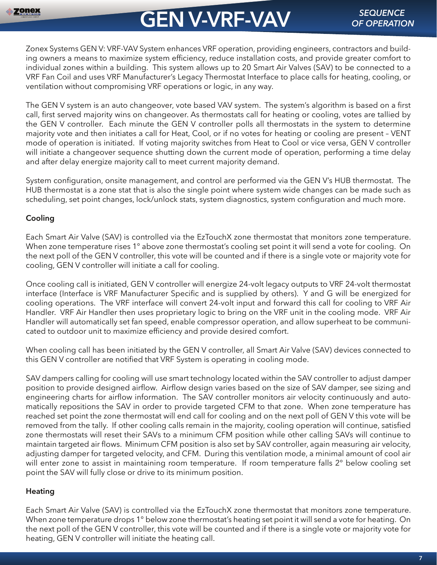# **GEN V-VRF-VAV** *SEQUENCE*

Zonex Systems GEN V: VRF-VAV System enhances VRF operation, providing engineers, contractors and building owners a means to maximize system efficiency, reduce installation costs, and provide greater comfort to individual zones within a building. This system allows up to 20 Smart Air Valves (SAV) to be connected to a VRF Fan Coil and uses VRF Manufacturer's Legacy Thermostat Interface to place calls for heating, cooling, or ventilation without compromising VRF operations or logic, in any way.

The GEN V system is an auto changeover, vote based VAV system. The system's algorithm is based on a first call, first served majority wins on changeover. As thermostats call for heating or cooling, votes are tallied by the GEN V controller. Each minute the GEN V controller polls all thermostats in the system to determine majority vote and then initiates a call for Heat, Cool, or if no votes for heating or cooling are present – VENT mode of operation is initiated. If voting majority switches from Heat to Cool or vice versa, GEN V controller will initiate a changeover sequence shutting down the current mode of operation, performing a time delay and after delay energize majority call to meet current majority demand.

System configuration, onsite management, and control are performed via the GEN V's HUB thermostat. The HUB thermostat is a zone stat that is also the single point where system wide changes can be made such as scheduling, set point changes, lock/unlock stats, system diagnostics, system configuration and much more.

# **Cooling**

Each Smart Air Valve (SAV) is controlled via the EzTouchX zone thermostat that monitors zone temperature. When zone temperature rises 1° above zone thermostat's cooling set point it will send a vote for cooling. On the next poll of the GEN V controller, this vote will be counted and if there is a single vote or majority vote for cooling, GEN V controller will initiate a call for cooling.

Once cooling call is initiated, GEN V controller will energize 24-volt legacy outputs to VRF 24-volt thermostat interface (Interface is VRF Manufacturer Specific and is supplied by others). Y and G will be energized for cooling operations. The VRF interface will convert 24-volt input and forward this call for cooling to VRF Air Handler. VRF Air Handler then uses proprietary logic to bring on the VRF unit in the cooling mode. VRF Air Handler will automatically set fan speed, enable compressor operation, and allow superheat to be communicated to outdoor unit to maximize efficiency and provide desired comfort.

When cooling call has been initiated by the GEN V controller, all Smart Air Valve (SAV) devices connected to this GEN V controller are notified that VRF System is operating in cooling mode.

SAV dampers calling for cooling will use smart technology located within the SAV controller to adjust damper position to provide designed airflow. Airflow design varies based on the size of SAV damper, see sizing and engineering charts for airflow information. The SAV controller monitors air velocity continuously and automatically repositions the SAV in order to provide targeted CFM to that zone. When zone temperature has reached set point the zone thermostat will end call for cooling and on the next poll of GEN V this vote will be removed from the tally. If other cooling calls remain in the majority, cooling operation will continue, satisfied zone thermostats will reset their SAVs to a minimum CFM position while other calling SAVs will continue to maintain targeted air flows. Minimum CFM position is also set by SAV controller, again measuring air velocity, adjusting damper for targeted velocity, and CFM. During this ventilation mode, a minimal amount of cool air will enter zone to assist in maintaining room temperature. If room temperature falls 2° below cooling set point the SAV will fully close or drive to its minimum position.

# **Heating**

Each Smart Air Valve (SAV) is controlled via the EzTouchX zone thermostat that monitors zone temperature. When zone temperature drops 1° below zone thermostat's heating set point it will send a vote for heating. On the next poll of the GEN V controller, this vote will be counted and if there is a single vote or majority vote for heating, GEN V controller will initiate the heating call.